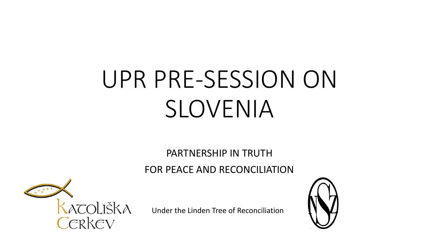# UPR PRE-SESSION ON SLOVENIA

PARTNERSHIP IN TRUTH

FOR PEACE AND RECONCILIATION



Under the Linden Tree of Reconciliation

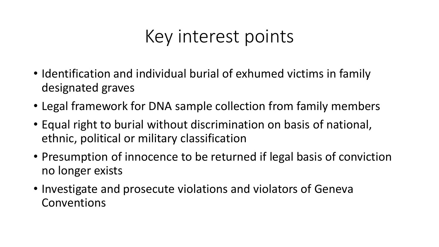#### Key interest points

- Identification and individual burial of exhumed victims in family designated graves
- Legal framework for DNA sample collection from family members
- Equal right to burial without discrimination on basis of national, ethnic, political or military classification
- Presumption of innocence to be returned if legal basis of conviction no longer exists
- Investigate and prosecute violations and violators of Geneva Conventions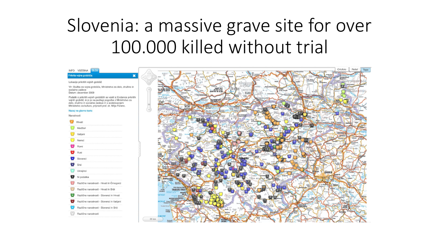# Slovenia: a massive grave site for over 100.000 killed without trial

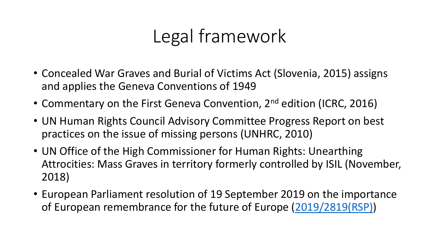# Legal framework

- Concealed War Graves and Burial of Victims Act (Slovenia, 2015) assigns and applies the Geneva Conventions of 1949
- Commentary on the First Geneva Convention, 2<sup>nd</sup> edition (ICRC, 2016)
- UN Human Rights Council Advisory Committee Progress Report on best practices on the issue of missing persons (UNHRC, 2010)
- UN Office of the High Commissioner for Human Rights: Unearthing Attrocities: Mass Graves in territory formerly controlled by ISIL (November, 2018)
- European Parliament resolution of 19 September 2019 on the importance of European remembrance for the future of Europe [\(2019/2819\(RSP\)\)](http://www.europarl.europa.eu/oeil/popups/ficheprocedure.do?lang=en&reference=2019/2819(RSP))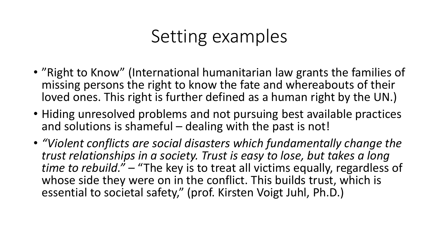#### Setting examples

- "Right to Know" (International humanitarian law grants the families of missing persons the right to know the fate and whereabouts of their loved ones. This right is further defined as a human right by the UN.)
- Hiding unresolved problems and not pursuing best available practices and solutions is shameful – dealing with the past is not!
- *"Violent conflicts are social disasters which fundamentally change the trust relationships in a society. Trust is easy to lose, but takes a long time to rebuild." –* "The key is to treat all victims equally, regardless of whose side they were on in the conflict. This builds trust, which is essential to societal safety," (prof. Kirsten Voigt Juhl, Ph.D.)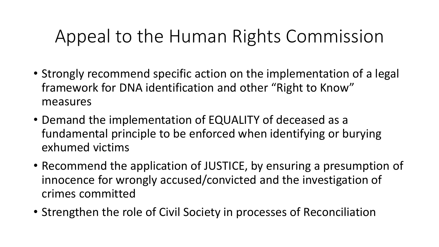# Appeal to the Human Rights Commission

- Strongly recommend specific action on the implementation of a legal framework for DNA identification and other "Right to Know" measures
- Demand the implementation of EQUALITY of deceased as a fundamental principle to be enforced when identifying or burying exhumed victims
- Recommend the application of JUSTICE, by ensuring a presumption of innocence for wrongly accused/convicted and the investigation of crimes committed
- Strengthen the role of Civil Society in processes of Reconciliation